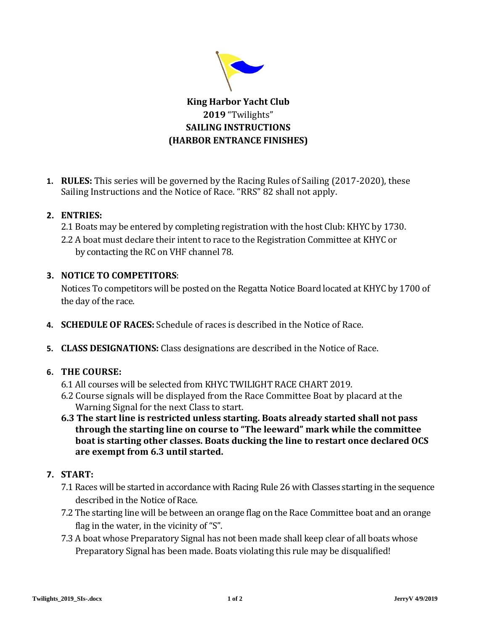

# **King Harbor Yacht Club 2019** "Twilights" **SAILING INSTRUCTIONS (HARBOR ENTRANCE FINISHES)**

**1. RULES:** This series will be governed by the Racing Rules of Sailing (2017-2020), these Sailing Instructions and the Notice of Race. "RRS" 82 shall not apply.

## **2. ENTRIES:**

- 2.1 Boats may be entered by completing registration with the host Club: KHYC by 1730.
- 2.2 A boat must declare their intent to race to the Registration Committee at KHYC or by contacting the RC on VHF channel 78.

## **3. NOTICE TO COMPETITORS**:

Notices To competitors will be posted on the Regatta Notice Board located at KHYC by 1700 of the day of the race.

- **4. SCHEDULE OF RACES:** Schedule of races is described in the Notice of Race.
- **5. CLASS DESIGNATIONS:** Class designations are described in the Notice of Race.

# **6. THE COURSE:**

- 6.1 All courses will be selected from KHYC TWILIGHT RACE CHART 2019.
- 6.2 Course signals will be displayed from the Race Committee Boat by placard at the Warning Signal for the next Class to start.
- **6.3 The start line is restricted unless starting. Boats already started shall not pass through the starting line on course to "The leeward" mark while the committee boat is starting other classes. Boats ducking the line to restart once declared OCS are exempt from 6.3 until started.**

### **7. START:**

- 7.1 Races will be started in accordance with Racing Rule 26 with Classes starting in the sequence described in the Notice of Race.
- 7.2 The starting line will be between an orange flag on the Race Committee boat and an orange flag in the water, in the vicinity of "S".
- 7.3 A boat whose Preparatory Signal has not been made shall keep clear of all boats whose Preparatory Signal has been made. Boats violating this rule may be disqualified!